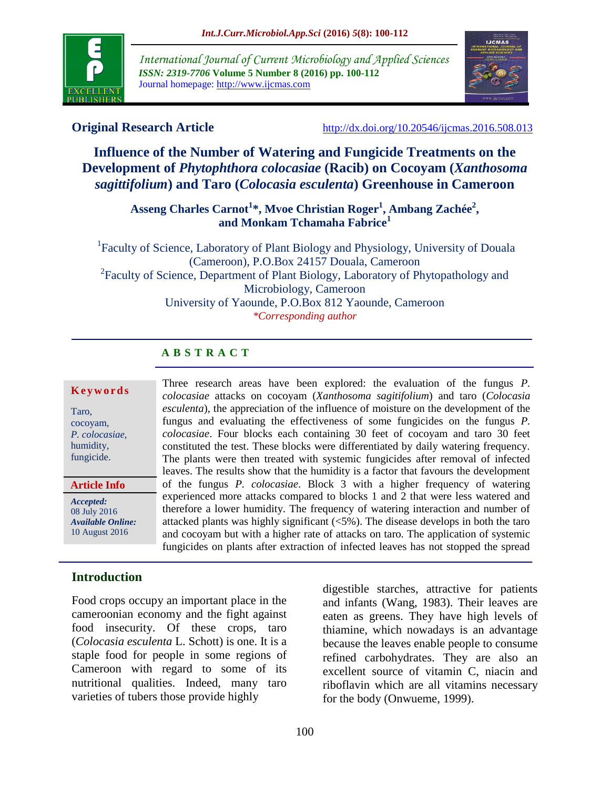

*International Journal of Current Microbiology and Applied Sciences ISSN: 2319-7706* **Volume 5 Number 8 (2016) pp. 100-112** Journal homepage: http://www.ijcmas.com



**Original Research Article** <http://dx.doi.org/10.20546/ijcmas.2016.508.013>

# **Influence of the Number of Watering and Fungicide Treatments on the Development of** *Phytophthora colocasiae* **(Racib) on Cocoyam (***Xanthosoma sagittifolium***) and Taro (***Colocasia esculenta***) Greenhouse in Cameroon**

**Asseng Charles Carnot<sup>1</sup> \*, Mvoe Christian Roger<sup>1</sup> , Ambang Zachée<sup>2</sup> , and Monkam Tchamaha Fabrice<sup>1</sup>**

<sup>1</sup>Faculty of Science, Laboratory of Plant Biology and Physiology, University of Douala (Cameroon), P.O.Box 24157 Douala, Cameroon <sup>2</sup> Faculty of Science, Department of Plant Biology, Laboratory of Phytopathology and Microbiology, Cameroon University of Yaounde, P.O.Box 812 Yaounde, Cameroon *\*Corresponding author*

# **A B S T R A C T**

#### **K e y w o r d s**

Taro, cocoyam, *P. colocasiae,*  humidity, fungicide.

**Article Info**

*Accepted:*  08 July 2016 *Available Online:* 10 August 2016

## **Introduction**

Food crops occupy an important place in the cameroonian economy and the fight against food insecurity. Of these crops, taro (*Colocasia esculenta* L. Schott) is one. It is a staple food for people in some regions of Cameroon with regard to some of its nutritional qualities. Indeed, many taro varieties of tubers those provide highly

Three research areas have been explored: the evaluation of the fungus *P. colocasiae* attacks on cocoyam (*Xanthosoma sagitifolium*) and taro (*Colocasia esculenta*), the appreciation of the influence of moisture on the development of the fungus and evaluating the effectiveness of some fungicides on the fungus *P. colocasiae*. Four blocks each containing 30 feet of cocoyam and taro 30 feet constituted the test. These blocks were differentiated by daily watering frequency. The plants were then treated with systemic fungicides after removal of infected leaves. The results show that the humidity is a factor that favours the development of the fungus *P. colocasiae*. Block 3 with a higher frequency of watering experienced more attacks compared to blocks 1 and 2 that were less watered and therefore a lower humidity. The frequency of watering interaction and number of attacked plants was highly significant (<5%). The disease develops in both the taro and cocoyam but with a higher rate of attacks on taro. The application of systemic fungicides on plants after extraction of infected leaves has not stopped the spread of the fungus.

> digestible starches, attractive for patients and infants (Wang, 1983). Their leaves are eaten as greens. They have high levels of thiamine, which nowadays is an advantage because the leaves enable people to consume refined carbohydrates. They are also an excellent source of vitamin C, niacin and riboflavin which are all vitamins necessary for the body (Onwueme, 1999).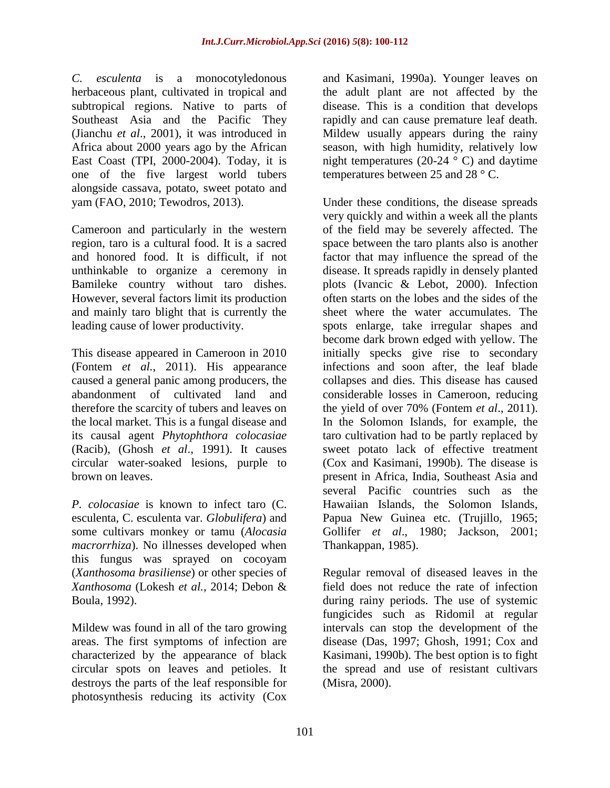*C. esculenta* is a monocotyledonous herbaceous plant, cultivated in tropical and subtropical regions. Native to parts of Southeast Asia and the Pacific They (Jianchu *et al*., 2001), it was introduced in Africa about 2000 years ago by the African East Coast (TPI, 2000-2004). Today, it is one of the five largest world tubers alongside cassava, potato, sweet potato and yam (FAO, 2010; Tewodros, 2013).

Cameroon and particularly in the western region, taro is a cultural food. It is a sacred and honored food. It is difficult, if not unthinkable to organize a ceremony in Bamileke country without taro dishes. However, several factors limit its production and mainly taro blight that is currently the leading cause of lower productivity.

This disease appeared in Cameroon in 2010 (Fontem *et al.*, 2011). His appearance caused a general panic among producers, the abandonment of cultivated land and therefore the scarcity of tubers and leaves on the local market. This is a fungal disease and its causal agent *Phytophthora colocasiae* (Racib), (Ghosh *et al*., 1991). It causes circular water-soaked lesions, purple to brown on leaves.

*P. colocasiae* is known to infect taro (C. esculenta, C. esculenta var. *Globulifera*) and some cultivars monkey or tamu (*Alocasia macrorrhiza*). No illnesses developed when this fungus was sprayed on cocoyam (*Xanthosoma brasiliense*) or other species of *Xanthosoma* (Lokesh *et al.*, 2014; Debon & Boula, 1992).

Mildew was found in all of the taro growing areas. The first symptoms of infection are characterized by the appearance of black circular spots on leaves and petioles. It destroys the parts of the leaf responsible for photosynthesis reducing its activity (Cox

and Kasimani, 1990a). Younger leaves on the adult plant are not affected by the disease. This is a condition that develops rapidly and can cause premature leaf death. Mildew usually appears during the rainy season, with high humidity, relatively low night temperatures (20-24  $\degree$  C) and daytime temperatures between 25 and 28 ° C.

Under these conditions, the disease spreads very quickly and within a week all the plants of the field may be severely affected. The space between the taro plants also is another factor that may influence the spread of the disease. It spreads rapidly in densely planted plots (Ivancic & Lebot, 2000). Infection often starts on the lobes and the sides of the sheet where the water accumulates. The spots enlarge, take irregular shapes and become dark brown edged with yellow. The initially specks give rise to secondary infections and soon after, the leaf blade collapses and dies. This disease has caused considerable losses in Cameroon, reducing the yield of over 70% (Fontem *et al*., 2011). In the Solomon Islands, for example, the taro cultivation had to be partly replaced by sweet potato lack of effective treatment (Cox and Kasimani, 1990b). The disease is present in Africa, India, Southeast Asia and several Pacific countries such as the Hawaiian Islands, the Solomon Islands, Papua New Guinea etc. (Trujillo, 1965; Gollifer *et al*., 1980; Jackson, 2001; Thankappan, 1985).

Regular removal of diseased leaves in the field does not reduce the rate of infection during rainy periods. The use of systemic fungicides such as Ridomil at regular intervals can stop the development of the disease (Das, 1997; Ghosh, 1991; Cox and Kasimani, 1990b). The best option is to fight the spread and use of resistant cultivars (Misra, 2000).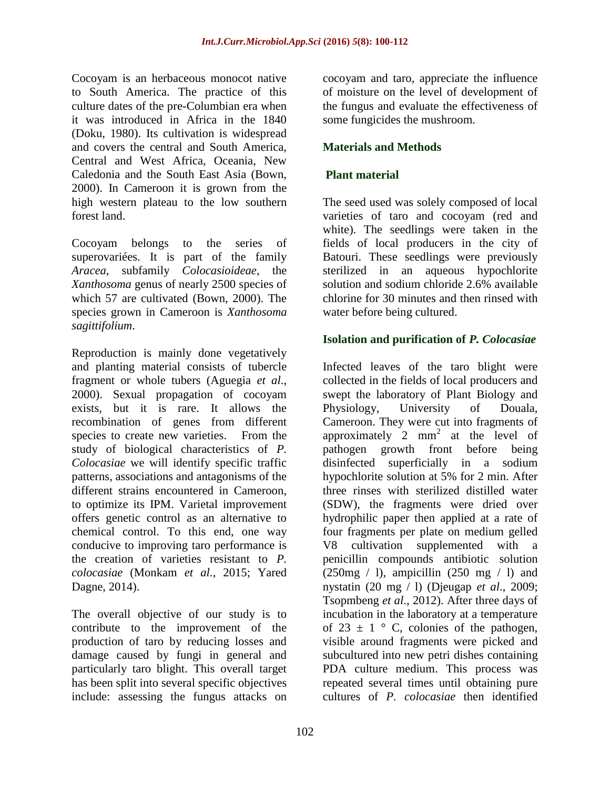Cocoyam is an herbaceous monocot native to South America. The practice of this culture dates of the pre-Columbian era when it was introduced in Africa in the 1840 (Doku, 1980). Its cultivation is widespread and covers the central and South America, Central and West Africa, Oceania, New Caledonia and the South East Asia (Bown, 2000). In Cameroon it is grown from the high western plateau to the low southern forest land.

Cocoyam belongs to the series of superovariées. It is part of the family *Aracea*, subfamily *Colocasioideae*, the *Xanthosoma* genus of nearly 2500 species of which 57 are cultivated (Bown, 2000). The species grown in Cameroon is *Xanthosoma sagittifolium*.

Reproduction is mainly done vegetatively and planting material consists of tubercle fragment or whole tubers (Aguegia *et al*., 2000). Sexual propagation of cocoyam exists, but it is rare. It allows the recombination of genes from different species to create new varieties. From the study of biological characteristics of *P. Colocasiae* we will identify specific traffic patterns, associations and antagonisms of the different strains encountered in Cameroon, to optimize its IPM. Varietal improvement offers genetic control as an alternative to chemical control. To this end, one way conducive to improving taro performance is the creation of varieties resistant to *P. colocasiae* (Monkam *et al.*, 2015; Yared Dagne, 2014).

The overall objective of our study is to contribute to the improvement of the production of taro by reducing losses and damage caused by fungi in general and particularly taro blight. This overall target has been split into several specific objectives include: assessing the fungus attacks on

cocoyam and taro, appreciate the influence of moisture on the level of development of the fungus and evaluate the effectiveness of some fungicides the mushroom.

## **Materials and Methods**

## **Plant material**

The seed used was solely composed of local varieties of taro and cocoyam (red and white). The seedlings were taken in the fields of local producers in the city of Batouri. These seedlings were previously sterilized in an aqueous hypochlorite solution and sodium chloride 2.6% available chlorine for 30 minutes and then rinsed with water before being cultured.

## **Isolation and purification of** *P. Colocasiae*

Infected leaves of the taro blight were collected in the fields of local producers and swept the laboratory of Plant Biology and Physiology, University of Douala, Cameroon. They were cut into fragments of approximately  $2 \text{ mm}^2$  at the level of pathogen growth front before being disinfected superficially in a sodium hypochlorite solution at 5% for 2 min. After three rinses with sterilized distilled water (SDW), the fragments were dried over hydrophilic paper then applied at a rate of four fragments per plate on medium gelled V8 cultivation supplemented with a penicillin compounds antibiotic solution  $(250mg / 1)$ , ampicillin  $(250 mg / 1)$  and nystatin (20 mg / l) (Djeugap *et al*., 2009; Tsopmbeng *et al*., 2012). After three days of incubation in the laboratory at a temperature of 23  $\pm$  1  $\degree$  C, colonies of the pathogen, visible around fragments were picked and subcultured into new petri dishes containing PDA culture medium. This process was repeated several times until obtaining pure cultures of *P. colocasiae* then identified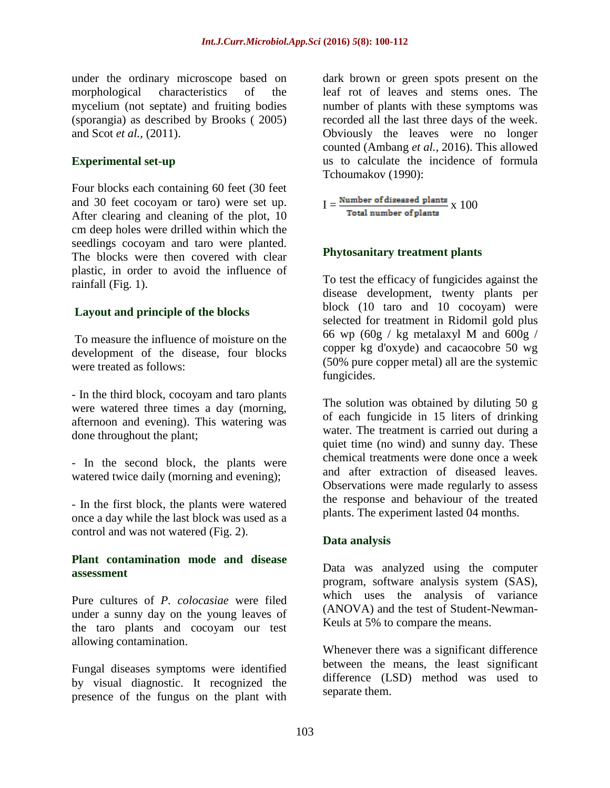under the ordinary microscope based on morphological characteristics of the mycelium (not septate) and fruiting bodies (sporangia) as described by Brooks ( 2005) and Scot *et al.,* (2011).

#### **Experimental set-up**

Four blocks each containing 60 feet (30 feet and 30 feet cocoyam or taro) were set up. After clearing and cleaning of the plot, 10 cm deep holes were drilled within which the seedlings cocoyam and taro were planted. The blocks were then covered with clear plastic, in order to avoid the influence of rainfall (Fig. 1).

## **Layout and principle of the blocks**

To measure the influence of moisture on the development of the disease, four blocks were treated as follows:

- In the third block, cocoyam and taro plants were watered three times a day (morning, afternoon and evening). This watering was done throughout the plant;

- In the second block, the plants were watered twice daily (morning and evening);

- In the first block, the plants were watered once a day while the last block was used as a control and was not watered (Fig. 2).

#### **Plant contamination mode and disease assessment**

Pure cultures of *P. colocasiae* were filed under a sunny day on the young leaves of the taro plants and cocoyam our test allowing contamination.

Fungal diseases symptoms were identified by visual diagnostic. It recognized the presence of the fungus on the plant with

dark brown or green spots present on the leaf rot of leaves and stems ones. The number of plants with these symptoms was recorded all the last three days of the week. Obviously the leaves were no longer counted (Ambang *et al.,* 2016). This allowed us to calculate the incidence of formula Tchoumakov (1990):

 $I = \frac{Number\ of\ discussed\ plants}{Total\ number\ of\ plants} \ge 100$ 

#### **Phytosanitary treatment plants**

To test the efficacy of fungicides against the disease development, twenty plants per block (10 taro and 10 cocoyam) were selected for treatment in Ridomil gold plus 66 wp (60g / kg metalaxyl M and 600g / copper kg d'oxyde) and cacaocobre 50 wg (50% pure copper metal) all are the systemic fungicides.

The solution was obtained by diluting 50 g of each fungicide in 15 liters of drinking water. The treatment is carried out during a quiet time (no wind) and sunny day. These chemical treatments were done once a week and after extraction of diseased leaves. Observations were made regularly to assess the response and behaviour of the treated plants. The experiment lasted 04 months.

#### **Data analysis**

Data was analyzed using the computer program, software analysis system (SAS), which uses the analysis of variance (ANOVA) and the test of Student-Newman-Keuls at 5% to compare the means.

Whenever there was a significant difference between the means, the least significant difference (LSD) method was used to separate them.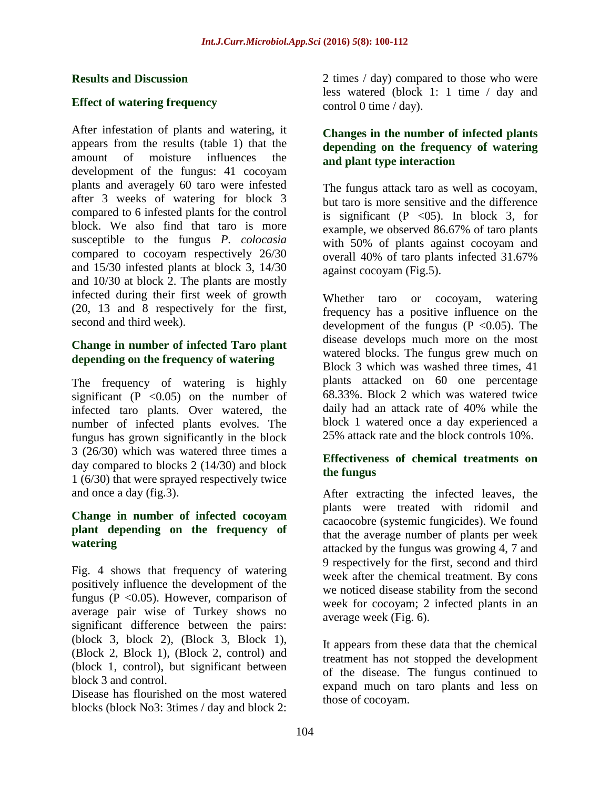#### **Results and Discussion**

#### **Effect of watering frequency**

After infestation of plants and watering, it appears from the results (table 1) that the amount of moisture influences the development of the fungus: 41 cocoyam plants and averagely 60 taro were infested after 3 weeks of watering for block 3 compared to 6 infested plants for the control block. We also find that taro is more susceptible to the fungus *P. colocasia* compared to cocoyam respectively 26/30 and 15/30 infested plants at block 3, 14/30 and 10/30 at block 2. The plants are mostly infected during their first week of growth (20, 13 and 8 respectively for the first, second and third week).

#### **Change in number of infected Taro plant depending on the frequency of watering**

The frequency of watering is highly significant (P  $< 0.05$ ) on the number of infected taro plants. Over watered, the number of infected plants evolves. The fungus has grown significantly in the block 3 (26/30) which was watered three times a day compared to blocks 2 (14/30) and block 1 (6/30) that were sprayed respectively twice and once a day (fig.3).

#### **Change in number of infected cocoyam plant depending on the frequency of watering**

Fig. 4 shows that frequency of watering positively influence the development of the fungus ( $P \le 0.05$ ). However, comparison of average pair wise of Turkey shows no significant difference between the pairs: (block 3, block 2), (Block 3, Block 1), (Block 2, Block 1), (Block 2, control) and (block 1, control), but significant between block 3 and control.

Disease has flourished on the most watered blocks (block No3: 3times / day and block 2:

2 times / day) compared to those who were less watered (block 1: 1 time / day and control 0 time / day).

#### **Changes in the number of infected plants depending on the frequency of watering and plant type interaction**

The fungus attack taro as well as cocoyam, but taro is more sensitive and the difference is significant (P  $<$  05). In block 3, for example, we observed 86.67% of taro plants with 50% of plants against cocoyam and overall 40% of taro plants infected 31.67% against cocoyam (Fig.5).

Whether taro or cocoyam, watering frequency has a positive influence on the development of the fungus ( $P \le 0.05$ ). The disease develops much more on the most watered blocks. The fungus grew much on Block 3 which was washed three times, 41 plants attacked on 60 one percentage 68.33%. Block 2 which was watered twice daily had an attack rate of 40% while the block 1 watered once a day experienced a 25% attack rate and the block controls 10%.

#### **Effectiveness of chemical treatments on the fungus**

After extracting the infected leaves, the plants were treated with ridomil and cacaocobre (systemic fungicides). We found that the average number of plants per week attacked by the fungus was growing 4, 7 and 9 respectively for the first, second and third week after the chemical treatment. By cons we noticed disease stability from the second week for cocoyam; 2 infected plants in an average week (Fig. 6).

It appears from these data that the chemical treatment has not stopped the development of the disease. The fungus continued to expand much on taro plants and less on those of cocoyam.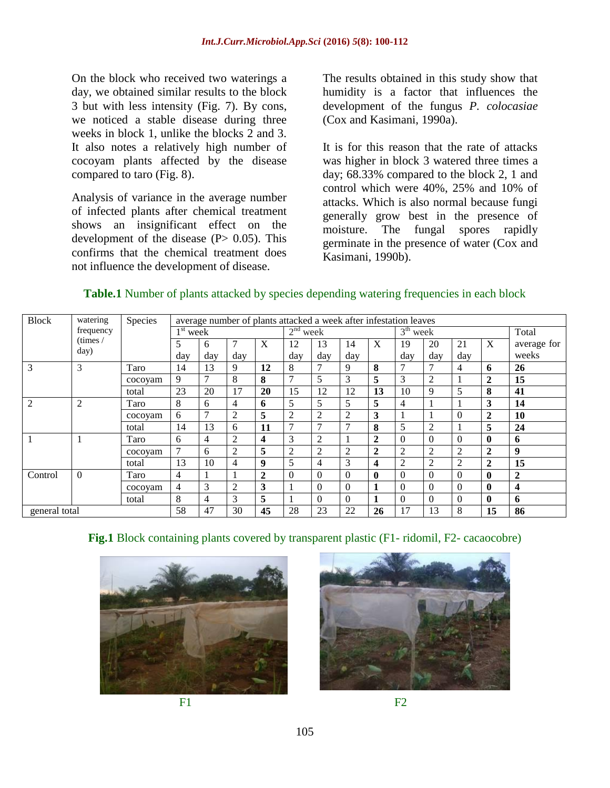On the block who received two waterings a day, we obtained similar results to the block 3 but with less intensity (Fig. 7). By cons, we noticed a stable disease during three weeks in block 1, unlike the blocks 2 and 3. It also notes a relatively high number of cocoyam plants affected by the disease compared to taro (Fig. 8).

Analysis of variance in the average number of infected plants after chemical treatment shows an insignificant effect on the development of the disease  $(P> 0.05)$ . This confirms that the chemical treatment does not influence the development of disease.

The results obtained in this study show that humidity is a factor that influences the development of the fungus *P. colocasiae* (Cox and Kasimani, 1990a).

It is for this reason that the rate of attacks was higher in block 3 watered three times a day; 68.33% compared to the block 2, 1 and control which were 40%, 25% and 10% of attacks. Which is also normal because fungi generally grow best in the presence of moisture. The fungal spores rapidly germinate in the presence of water (Cox and Kasimani, 1990b).

#### **Table.1** Number of plants attacked by species depending watering frequencies in each block

| <b>Block</b>   | watering<br>frequency<br>(times /<br>day) | Species | average number of plants attacked a week after infestation leaves |                |                |                |                         |                |               |                         |                  |                  |                  |                         |                         |
|----------------|-------------------------------------------|---------|-------------------------------------------------------------------|----------------|----------------|----------------|-------------------------|----------------|---------------|-------------------------|------------------|------------------|------------------|-------------------------|-------------------------|
|                |                                           |         | $1st$ week                                                        |                |                |                | 2 <sup>nd</sup><br>week |                |               |                         | $3th$ week       |                  |                  |                         | Total                   |
|                |                                           |         | 5                                                                 | 6              | $\overline{7}$ | X              | 12                      | 13             | 14            | X                       | 19               | 20               | 21               | X                       | average for             |
|                |                                           |         | day                                                               | day            | day            |                | day                     | day            | day           |                         | day              | day              | day              |                         | weeks                   |
| 3              | 3                                         | Taro    | 14                                                                | 13             | 9              | 12             | 8                       |                | 9             | 8                       | 7                | 7                | 4                | 6                       | 26                      |
|                |                                           | cocoyam | 9                                                                 | $\mathcal{I}$  | 8              | 8              | 7                       | 5              | 3             | 5                       | 3                | $\mathfrak{2}$   |                  | $\overline{\mathbf{2}}$ | 15                      |
|                |                                           | total   | 23                                                                | 20             | 17             | 20             | 15                      | 12             | 12            | 13                      | 10               | 9                | 5                | 8                       | 41                      |
| $\overline{2}$ | $\overline{2}$                            | Taro    | 8                                                                 | 6              | 4              | 6              | 5                       | 5              | 5             | 5                       | $\overline{4}$   |                  |                  | 3                       | 14                      |
|                |                                           | cocoyam | 6                                                                 | $\mathcal{I}$  | 2              | 5              | $\overline{2}$          | 2              | 2             | $\mathbf{3}$            |                  |                  | $\overline{0}$   | $\overline{2}$          | 10                      |
|                |                                           | total   | 14                                                                | 13             | 6              | 11             | $\mathcal{I}$           | $\overline{7}$ | $\mathcal{I}$ | 8                       | 5                | $\overline{c}$   |                  | 5                       | 24                      |
|                |                                           | Taro    | 6                                                                 | 4              | 2              | 4              | 3                       | 2              |               | $\overline{2}$          | $\boldsymbol{0}$ | $\mathbf{0}$     | $\mathbf{0}$     | $\bf{0}$                | 6                       |
|                |                                           | cocoyam | $\overline{7}$                                                    | 6              | $\overline{2}$ | 5              | 2                       | 2              | 2             | $\mathbf{2}$            | $\overline{2}$   | 2                | $\overline{2}$   | $\boldsymbol{2}$        | 9                       |
|                |                                           | total   | 13                                                                | 10             | 4              | 9              | 5                       | 4              | 3             | $\overline{\mathbf{4}}$ | 2                | $\overline{c}$   | $\overline{2}$   | $\boldsymbol{2}$        | 15                      |
| Control        | $\Omega$                                  | Taro    | $\overline{4}$                                                    |                | -1             | $\overline{2}$ | $\theta$                | $\Omega$       | $\Omega$      | $\mathbf 0$             | $\theta$         | $\mathbf{0}$     | $\theta$         | $\bf{0}$                | $\overline{2}$          |
|                |                                           | cocoyam | 4                                                                 | 3              | 2              | 3              |                         | $\Omega$       | $\Omega$      | 1                       | $\Omega$         | $\boldsymbol{0}$ | $\Omega$         | $\mathbf{0}$            | $\overline{\mathbf{4}}$ |
|                |                                           | total   | 8                                                                 | $\overline{4}$ | 3              | 5              |                         | $\Omega$       | $\Omega$      | 1                       | $\boldsymbol{0}$ | $\boldsymbol{0}$ | $\boldsymbol{0}$ | $\bf{0}$                | 6                       |
| general total  |                                           |         | 58                                                                | 47             | 30             | 45             | 28                      | 23             | 22            | 26                      | 17               | 13               | 8                | 15                      | 86                      |

#### Fig.1 Block containing plants covered by transparent plastic (F1- ridomil, F2- cacaocobre)





 $F1$  F2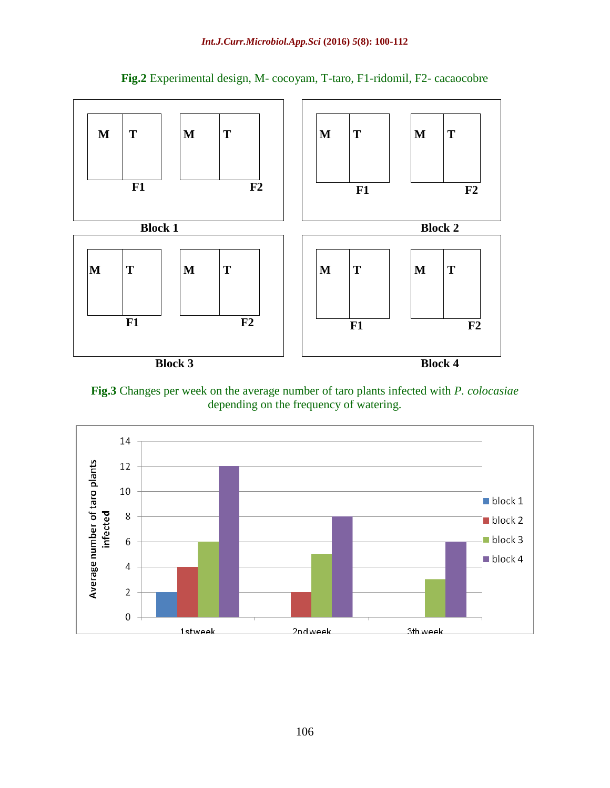

**Fig.2** Experimental design, M- cocoyam, T-taro, F1-ridomil, F2- cacaocobre



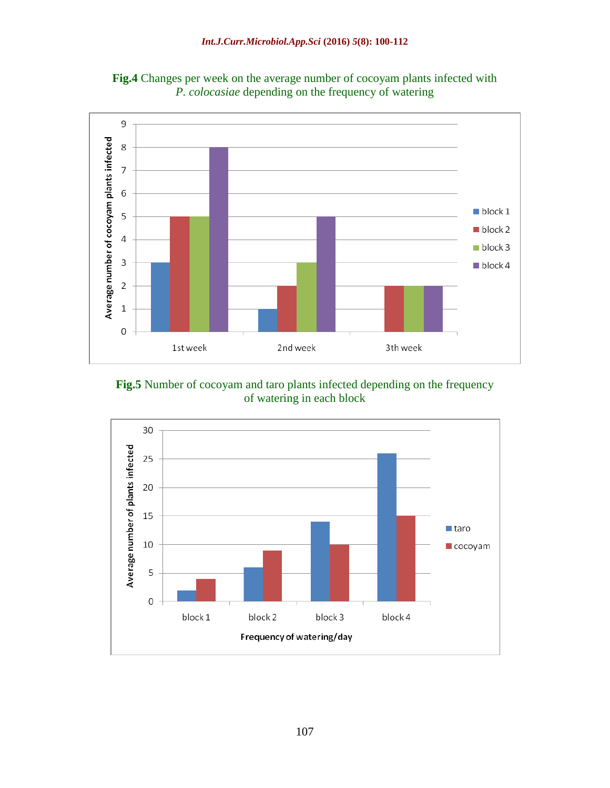

**Fig.4** Changes per week on the average number of cocoyam plants infected with *P. colocasiae* depending on the frequency of watering

**Fig.5** Number of cocoyam and taro plants infected depending on the frequency of watering in each block

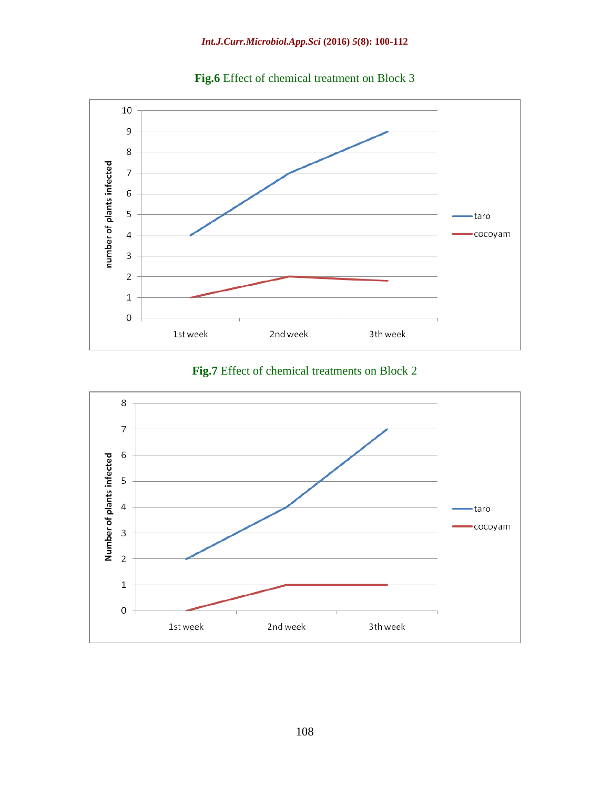

**Fig.6** Effect of chemical treatment on Block 3



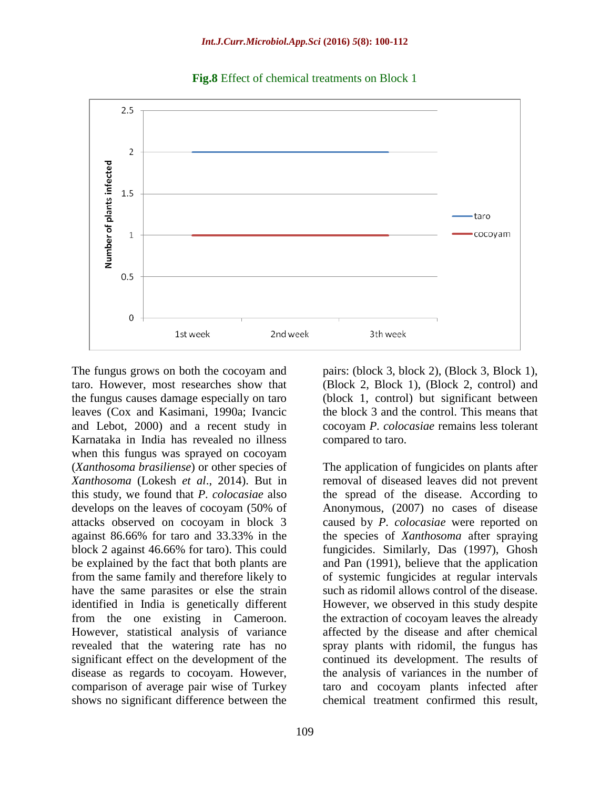



The fungus grows on both the cocoyam and taro. However, most researches show that the fungus causes damage especially on taro leaves (Cox and Kasimani, 1990a; Ivancic and Lebot, 2000) and a recent study in Karnataka in India has revealed no illness when this fungus was sprayed on cocoyam (*Xanthosoma brasiliense*) or other species of *Xanthosoma* (Lokesh *et al*., 2014). But in this study, we found that *P. colocasiae* also develops on the leaves of cocoyam (50% of attacks observed on cocoyam in block 3 against 86.66% for taro and 33.33% in the block 2 against 46.66% for taro). This could be explained by the fact that both plants are from the same family and therefore likely to have the same parasites or else the strain identified in India is genetically different from the one existing in Cameroon. However, statistical analysis of variance revealed that the watering rate has no significant effect on the development of the disease as regards to cocoyam. However, comparison of average pair wise of Turkey shows no significant difference between the

pairs: (block 3, block 2), (Block 3, Block 1), (Block 2, Block 1), (Block 2, control) and (block 1, control) but significant between the block 3 and the control. This means that cocoyam *P. colocasiae* remains less tolerant compared to taro.

The application of fungicides on plants after removal of diseased leaves did not prevent the spread of the disease. According to Anonymous, (2007) no cases of disease caused by *P. colocasiae* were reported on the species of *Xanthosoma* after spraying fungicides. Similarly, Das (1997), Ghosh and Pan (1991), believe that the application of systemic fungicides at regular intervals such as ridomil allows control of the disease. However, we observed in this study despite the extraction of cocoyam leaves the already affected by the disease and after chemical spray plants with ridomil, the fungus has continued its development. The results of the analysis of variances in the number of taro and cocoyam plants infected after chemical treatment confirmed this result,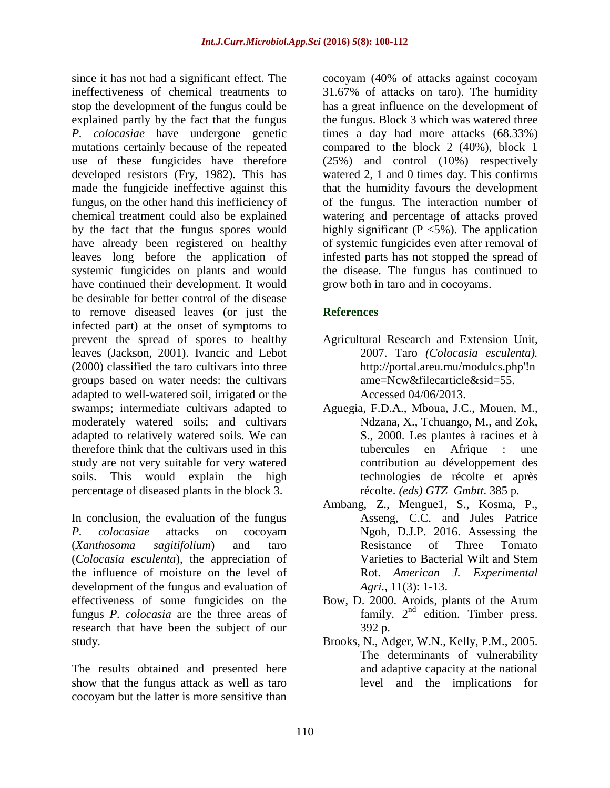since it has not had a significant effect. The ineffectiveness of chemical treatments to stop the development of the fungus could be explained partly by the fact that the fungus *P. colocasiae* have undergone genetic mutations certainly because of the repeated use of these fungicides have therefore developed resistors (Fry, 1982). This has made the fungicide ineffective against this fungus, on the other hand this inefficiency of chemical treatment could also be explained by the fact that the fungus spores would have already been registered on healthy leaves long before the application of systemic fungicides on plants and would have continued their development. It would be desirable for better control of the disease to remove diseased leaves (or just the infected part) at the onset of symptoms to prevent the spread of spores to healthy leaves (Jackson, 2001). Ivancic and Lebot (2000) classified the taro cultivars into three groups based on water needs: the cultivars adapted to well-watered soil, irrigated or the swamps; intermediate cultivars adapted to moderately watered soils; and cultivars adapted to relatively watered soils. We can therefore think that the cultivars used in this study are not very suitable for very watered soils. This would explain the high percentage of diseased plants in the block 3.

In conclusion, the evaluation of the fungus *P. colocasiae* attacks on cocoyam (*Xanthosoma sagitifolium*) and taro (*Colocasia esculenta*), the appreciation of the influence of moisture on the level of development of the fungus and evaluation of effectiveness of some fungicides on the fungus *P. colocasia* are the three areas of research that have been the subject of our study.

The results obtained and presented here show that the fungus attack as well as taro cocoyam but the latter is more sensitive than

cocoyam (40% of attacks against cocoyam 31.67% of attacks on taro). The humidity has a great influence on the development of the fungus. Block 3 which was watered three times a day had more attacks (68.33%) compared to the block 2 (40%), block 1 (25%) and control (10%) respectively watered 2, 1 and 0 times day. This confirms that the humidity favours the development of the fungus. The interaction number of watering and percentage of attacks proved highly significant ( $P \le 5\%$ ). The application of systemic fungicides even after removal of infested parts has not stopped the spread of the disease. The fungus has continued to grow both in taro and in cocoyams.

## **References**

- Agricultural Research and Extension Unit, 2007. Taro *(Colocasia esculenta).* http://portal.areu.mu/modulcs.php'!n ame=Ncw&filecarticle&sid=55. Accessed 04/06/2013.
- Aguegia, F.D.A., Mboua, J.C., Mouen, M., Ndzana, X., Tchuango, M., and Zok, S., 2000. Les plantes à racines et à tubercules en Afrique : une contribution au développement des technologies de récolte et après récolte. *(eds) GTZ Gmbtt*. 385 p.
- Ambang, Z., Mengue1, S., Kosma, P., Asseng, C.C. and Jules Patrice Ngoh, D.J.P. 2016. Assessing the Resistance of Three Tomato Varieties to Bacterial Wilt and Stem Rot. *American J. Experimental Agri.,* 11(3): 1-13.
- Bow, D. 2000. Aroids, plants of the Arum family.  $2<sup>nd</sup>$  edition. Timber press. 392 p.
- Brooks, N., Adger, W.N., Kelly, P.M., 2005. The determinants of vulnerability and adaptive capacity at the national level and the implications for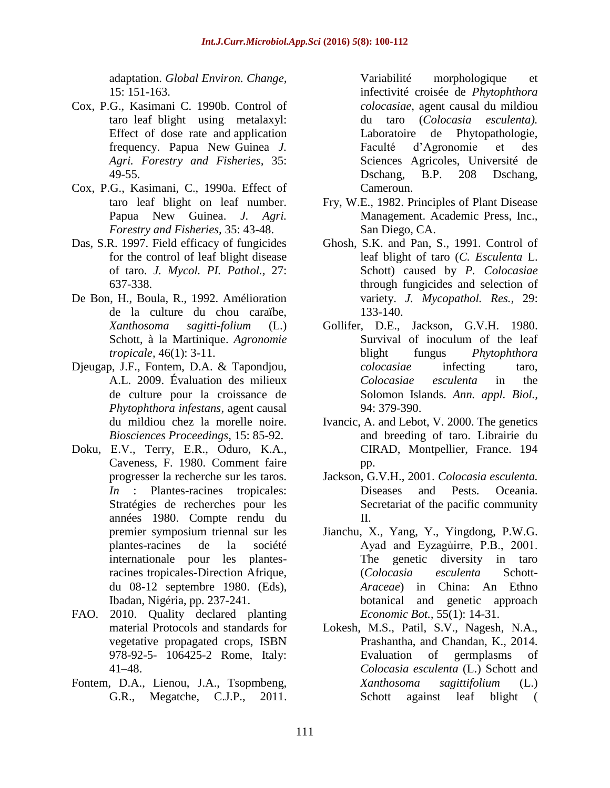adaptation. *Global Environ. Change,* 15: 151-163.

- Cox, P.G., Kasimani C. 1990b. Control of taro leaf blight using metalaxyl: Effect of dose rate and application frequency. Papua New Guinea *J. Agri. Forestry and Fisheries,* 35: 49-55.
- Cox, P.G., Kasimani, C., 1990a. Effect of taro leaf blight on leaf number. Papua New Guinea. *J. Agri. Forestry and Fisheries,* 35: 43-48.
- Das, S.R. 1997. Field efficacy of fungicides for the control of leaf blight disease of taro. *J. Mycol. PI. Pathol.,* 27: 637-338.
- De Bon, H., Boula, R., 1992. Amélioration de la culture du chou caraïbe, *Xanthosoma sagitti-folium* (L.) Schott, à la Martinique. *Agronomie tropicale,* 46(1): 3-11.
- Djeugap, J.F., Fontem, D.A. & Tapondjou, A.L. 2009. Évaluation des milieux de culture pour la croissance de *Phytophthora infestans*, agent causal du mildiou chez la morelle noire. *Biosciences Proceedings*, 15: 85-92.
- Doku, E.V., Terry, E.R., Oduro, K.A., Caveness, F. 1980. Comment faire progresser la recherche sur les taros. *In* : Plantes-racines tropicales: Stratégies de recherches pour les années 1980. Compte rendu du premier symposium triennal sur les plantes-racines de la société internationale pour les plantesracines tropicales-Direction Afrique, du 08-12 septembre 1980. (Eds), Ibadan, Nigéria, pp. 237-241.
- FAO. 2010. Quality declared planting material Protocols and standards for vegetative propagated crops, ISBN 978-92-5- 106425-2 Rome, Italy: 41–48.
- Fontem, D.A., Lienou, J.A., Tsopmbeng, G.R., Megatche, C.J.P., 2011.

Variabilité morphologique et infectivité croisée de *Phytophthora colocasiae*, agent causal du mildiou du taro (*Colocasia esculenta).* Laboratoire de Phytopathologie, Faculté d'Agronomie et des Sciences Agricoles, Université de Dschang, B.P. 208 Dschang, Cameroun.

- Fry, W.E., 1982. Principles of Plant Disease Management. Academic Press, Inc., San Diego, CA.
- Ghosh, S.K. and Pan, S., 1991. Control of leaf blight of taro (*C. Esculenta* L. Schott) caused by *P. Colocasiae* through fungicides and selection of variety. *J. Mycopathol. Res.,* 29: 133-140.
- Gollifer, D.E., Jackson, G.V.H. 1980. Survival of inoculum of the leaf blight fungus *Phytophthora colocasiae* infecting taro, *Colocasiae esculenta* in the Solomon Islands. *Ann. appl. Biol.,* 94: 379-390.
- Ivancic, A*.* and Lebot, V. 2000. The genetics and breeding of taro. Librairie du CIRAD, Montpellier, France. 194 pp.
- Jackson, G.V.H., 2001. *Colocasia esculenta.* Diseases and Pests. Oceania. Secretariat of the pacific community II.
- Jianchu, X., Yang, Y., Yingdong, P.W.G. Ayad and Eyzagủirre, P.B., 2001. The genetic diversity in taro (*Colocasia esculenta* Schott-*Araceae*) in China: An Ethno botanical and genetic approach *Economic Bot.,* 55(1): 14-31.
- Lokesh, M.S., Patil, S.V., Nagesh, N.A., Prashantha, and Chandan, K., 2014. Evaluation of germplasms of *Colocasia esculenta* (L.) Schott and *Xanthosoma sagittifolium* (L.) Schott against leaf blight (